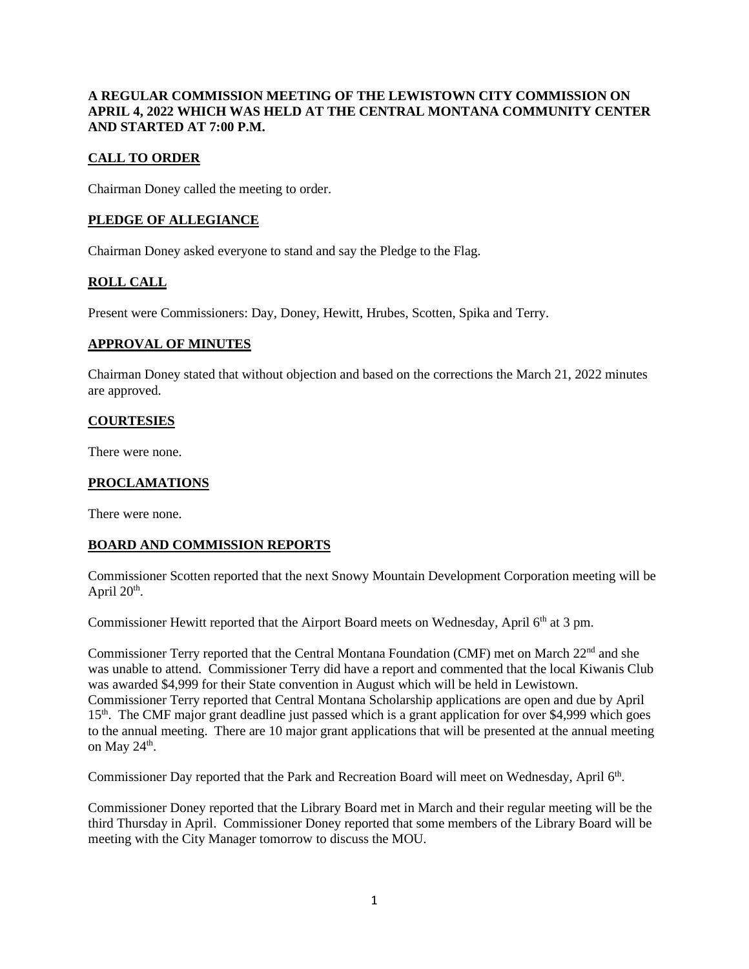## **A REGULAR COMMISSION MEETING OF THE LEWISTOWN CITY COMMISSION ON APRIL 4, 2022 WHICH WAS HELD AT THE CENTRAL MONTANA COMMUNITY CENTER AND STARTED AT 7:00 P.M.**

# **CALL TO ORDER**

Chairman Doney called the meeting to order.

### **PLEDGE OF ALLEGIANCE**

Chairman Doney asked everyone to stand and say the Pledge to the Flag.

## **ROLL CALL**

Present were Commissioners: Day, Doney, Hewitt, Hrubes, Scotten, Spika and Terry.

### **APPROVAL OF MINUTES**

Chairman Doney stated that without objection and based on the corrections the March 21, 2022 minutes are approved.

#### **COURTESIES**

There were none.

#### **PROCLAMATIONS**

There were none.

## **BOARD AND COMMISSION REPORTS**

Commissioner Scotten reported that the next Snowy Mountain Development Corporation meeting will be April  $20<sup>th</sup>$ .

Commissioner Hewitt reported that the Airport Board meets on Wednesday, April 6<sup>th</sup> at 3 pm.

Commissioner Terry reported that the Central Montana Foundation (CMF) met on March 22nd and she was unable to attend. Commissioner Terry did have a report and commented that the local Kiwanis Club was awarded \$4,999 for their State convention in August which will be held in Lewistown. Commissioner Terry reported that Central Montana Scholarship applications are open and due by April 15<sup>th</sup>. The CMF major grant deadline just passed which is a grant application for over \$4,999 which goes to the annual meeting. There are 10 major grant applications that will be presented at the annual meeting on May  $24<sup>th</sup>$ .

Commissioner Day reported that the Park and Recreation Board will meet on Wednesday, April 6<sup>th</sup>.

Commissioner Doney reported that the Library Board met in March and their regular meeting will be the third Thursday in April. Commissioner Doney reported that some members of the Library Board will be meeting with the City Manager tomorrow to discuss the MOU.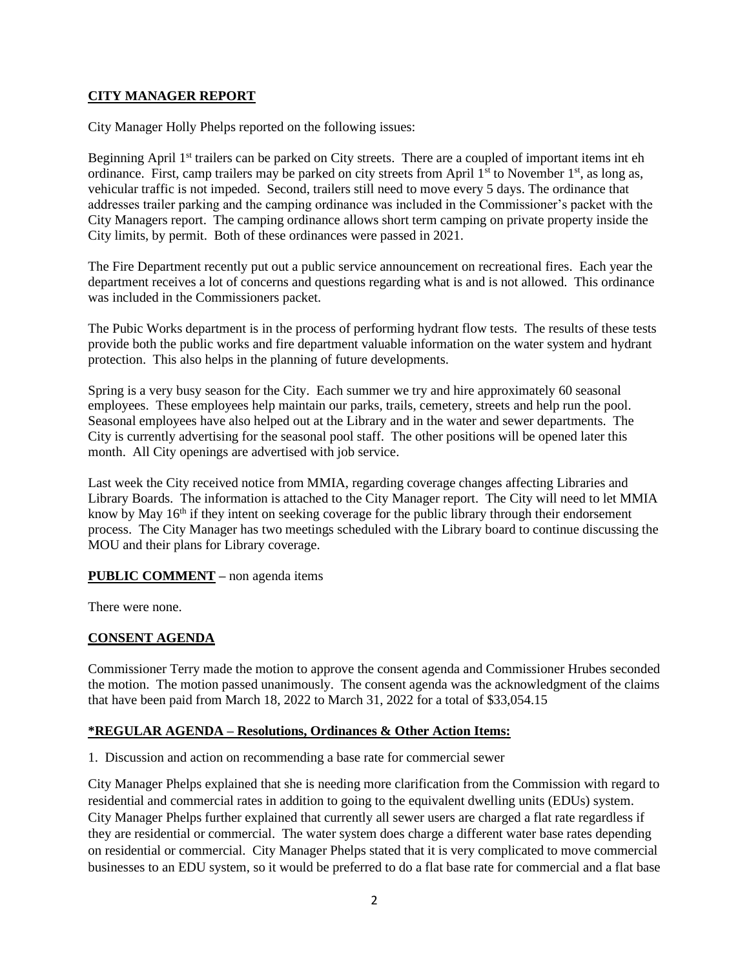## **CITY MANAGER REPORT**

City Manager Holly Phelps reported on the following issues:

Beginning April 1<sup>st</sup> trailers can be parked on City streets. There are a coupled of important items int eh ordinance. First, camp trailers may be parked on city streets from April  $1<sup>st</sup>$  to November  $1<sup>st</sup>$ , as long as, vehicular traffic is not impeded. Second, trailers still need to move every 5 days. The ordinance that addresses trailer parking and the camping ordinance was included in the Commissioner's packet with the City Managers report. The camping ordinance allows short term camping on private property inside the City limits, by permit. Both of these ordinances were passed in 2021.

The Fire Department recently put out a public service announcement on recreational fires. Each year the department receives a lot of concerns and questions regarding what is and is not allowed. This ordinance was included in the Commissioners packet.

The Pubic Works department is in the process of performing hydrant flow tests. The results of these tests provide both the public works and fire department valuable information on the water system and hydrant protection. This also helps in the planning of future developments.

Spring is a very busy season for the City. Each summer we try and hire approximately 60 seasonal employees. These employees help maintain our parks, trails, cemetery, streets and help run the pool. Seasonal employees have also helped out at the Library and in the water and sewer departments. The City is currently advertising for the seasonal pool staff. The other positions will be opened later this month. All City openings are advertised with job service.

Last week the City received notice from MMIA, regarding coverage changes affecting Libraries and Library Boards. The information is attached to the City Manager report. The City will need to let MMIA know by May  $16<sup>th</sup>$  if they intent on seeking coverage for the public library through their endorsement process. The City Manager has two meetings scheduled with the Library board to continue discussing the MOU and their plans for Library coverage.

## **PUBLIC COMMENT –** non agenda items

There were none.

# **CONSENT AGENDA**

Commissioner Terry made the motion to approve the consent agenda and Commissioner Hrubes seconded the motion. The motion passed unanimously. The consent agenda was the acknowledgment of the claims that have been paid from March 18, 2022 to March 31, 2022 for a total of \$33,054.15

# **\*REGULAR AGENDA – Resolutions, Ordinances & Other Action Items:**

1. Discussion and action on recommending a base rate for commercial sewer

City Manager Phelps explained that she is needing more clarification from the Commission with regard to residential and commercial rates in addition to going to the equivalent dwelling units (EDUs) system. City Manager Phelps further explained that currently all sewer users are charged a flat rate regardless if they are residential or commercial. The water system does charge a different water base rates depending on residential or commercial. City Manager Phelps stated that it is very complicated to move commercial businesses to an EDU system, so it would be preferred to do a flat base rate for commercial and a flat base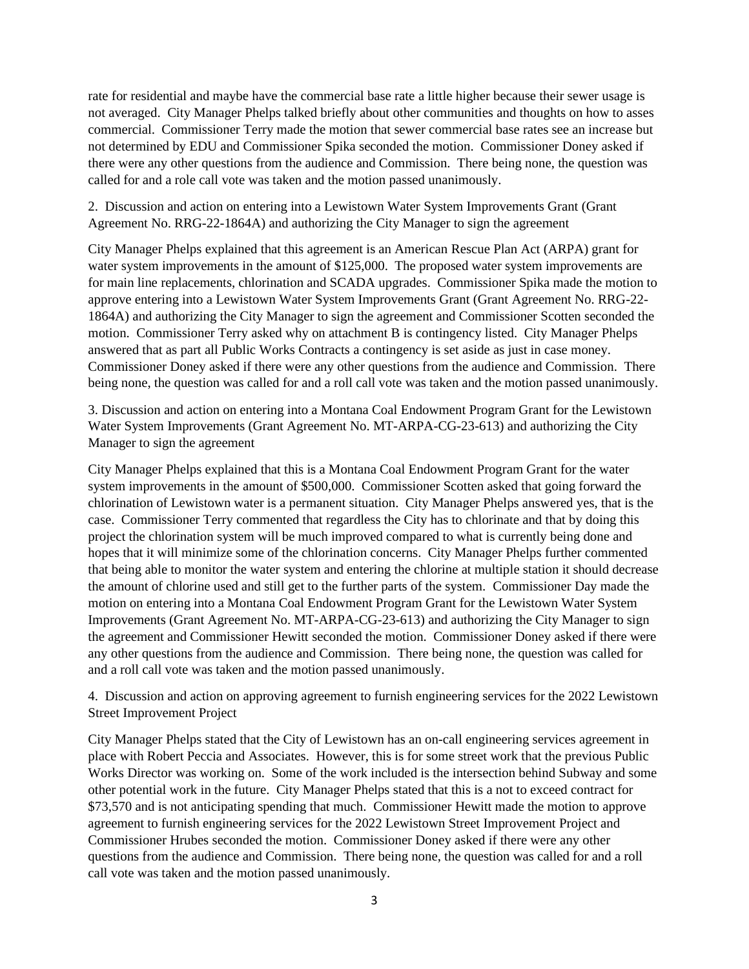rate for residential and maybe have the commercial base rate a little higher because their sewer usage is not averaged. City Manager Phelps talked briefly about other communities and thoughts on how to asses commercial. Commissioner Terry made the motion that sewer commercial base rates see an increase but not determined by EDU and Commissioner Spika seconded the motion. Commissioner Doney asked if there were any other questions from the audience and Commission. There being none, the question was called for and a role call vote was taken and the motion passed unanimously.

2. Discussion and action on entering into a Lewistown Water System Improvements Grant (Grant Agreement No. RRG-22-1864A) and authorizing the City Manager to sign the agreement

City Manager Phelps explained that this agreement is an American Rescue Plan Act (ARPA) grant for water system improvements in the amount of \$125,000. The proposed water system improvements are for main line replacements, chlorination and SCADA upgrades. Commissioner Spika made the motion to approve entering into a Lewistown Water System Improvements Grant (Grant Agreement No. RRG-22- 1864A) and authorizing the City Manager to sign the agreement and Commissioner Scotten seconded the motion. Commissioner Terry asked why on attachment B is contingency listed. City Manager Phelps answered that as part all Public Works Contracts a contingency is set aside as just in case money. Commissioner Doney asked if there were any other questions from the audience and Commission. There being none, the question was called for and a roll call vote was taken and the motion passed unanimously.

3. Discussion and action on entering into a Montana Coal Endowment Program Grant for the Lewistown Water System Improvements (Grant Agreement No. MT-ARPA-CG-23-613) and authorizing the City Manager to sign the agreement

City Manager Phelps explained that this is a Montana Coal Endowment Program Grant for the water system improvements in the amount of \$500,000. Commissioner Scotten asked that going forward the chlorination of Lewistown water is a permanent situation. City Manager Phelps answered yes, that is the case. Commissioner Terry commented that regardless the City has to chlorinate and that by doing this project the chlorination system will be much improved compared to what is currently being done and hopes that it will minimize some of the chlorination concerns. City Manager Phelps further commented that being able to monitor the water system and entering the chlorine at multiple station it should decrease the amount of chlorine used and still get to the further parts of the system. Commissioner Day made the motion on entering into a Montana Coal Endowment Program Grant for the Lewistown Water System Improvements (Grant Agreement No. MT-ARPA-CG-23-613) and authorizing the City Manager to sign the agreement and Commissioner Hewitt seconded the motion. Commissioner Doney asked if there were any other questions from the audience and Commission. There being none, the question was called for and a roll call vote was taken and the motion passed unanimously.

4. Discussion and action on approving agreement to furnish engineering services for the 2022 Lewistown Street Improvement Project

City Manager Phelps stated that the City of Lewistown has an on-call engineering services agreement in place with Robert Peccia and Associates. However, this is for some street work that the previous Public Works Director was working on. Some of the work included is the intersection behind Subway and some other potential work in the future. City Manager Phelps stated that this is a not to exceed contract for \$73,570 and is not anticipating spending that much. Commissioner Hewitt made the motion to approve agreement to furnish engineering services for the 2022 Lewistown Street Improvement Project and Commissioner Hrubes seconded the motion. Commissioner Doney asked if there were any other questions from the audience and Commission. There being none, the question was called for and a roll call vote was taken and the motion passed unanimously.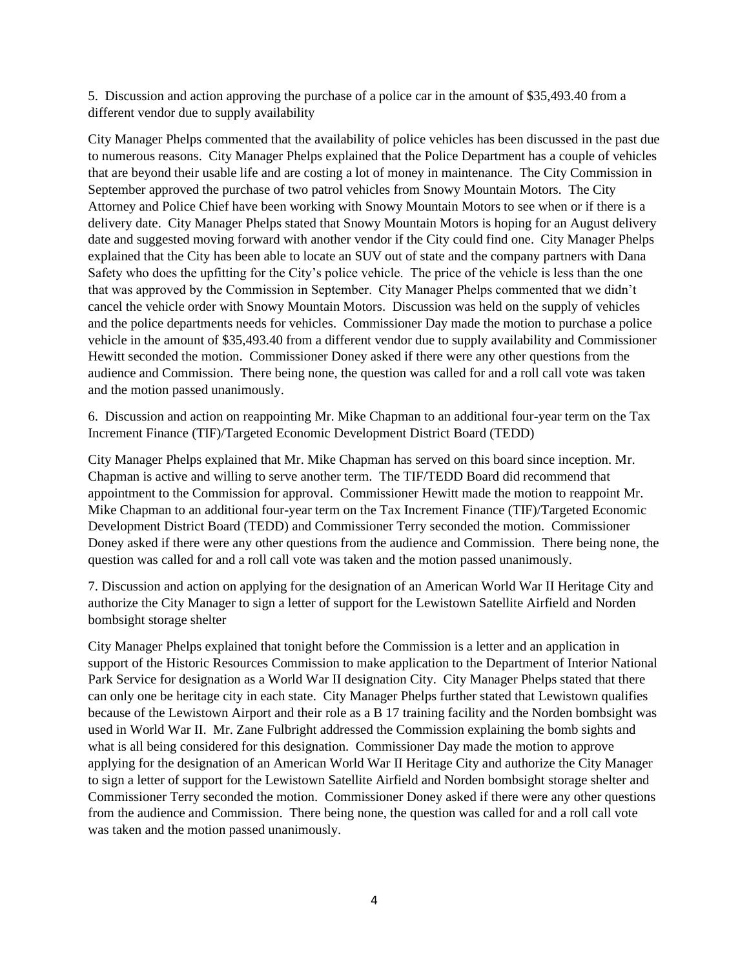5. Discussion and action approving the purchase of a police car in the amount of \$35,493.40 from a different vendor due to supply availability

City Manager Phelps commented that the availability of police vehicles has been discussed in the past due to numerous reasons. City Manager Phelps explained that the Police Department has a couple of vehicles that are beyond their usable life and are costing a lot of money in maintenance. The City Commission in September approved the purchase of two patrol vehicles from Snowy Mountain Motors. The City Attorney and Police Chief have been working with Snowy Mountain Motors to see when or if there is a delivery date. City Manager Phelps stated that Snowy Mountain Motors is hoping for an August delivery date and suggested moving forward with another vendor if the City could find one. City Manager Phelps explained that the City has been able to locate an SUV out of state and the company partners with Dana Safety who does the upfitting for the City's police vehicle. The price of the vehicle is less than the one that was approved by the Commission in September. City Manager Phelps commented that we didn't cancel the vehicle order with Snowy Mountain Motors. Discussion was held on the supply of vehicles and the police departments needs for vehicles. Commissioner Day made the motion to purchase a police vehicle in the amount of \$35,493.40 from a different vendor due to supply availability and Commissioner Hewitt seconded the motion. Commissioner Doney asked if there were any other questions from the audience and Commission. There being none, the question was called for and a roll call vote was taken and the motion passed unanimously.

6. Discussion and action on reappointing Mr. Mike Chapman to an additional four-year term on the Tax Increment Finance (TIF)/Targeted Economic Development District Board (TEDD)

City Manager Phelps explained that Mr. Mike Chapman has served on this board since inception. Mr. Chapman is active and willing to serve another term. The TIF/TEDD Board did recommend that appointment to the Commission for approval. Commissioner Hewitt made the motion to reappoint Mr. Mike Chapman to an additional four-year term on the Tax Increment Finance (TIF)/Targeted Economic Development District Board (TEDD) and Commissioner Terry seconded the motion. Commissioner Doney asked if there were any other questions from the audience and Commission. There being none, the question was called for and a roll call vote was taken and the motion passed unanimously.

7. Discussion and action on applying for the designation of an American World War II Heritage City and authorize the City Manager to sign a letter of support for the Lewistown Satellite Airfield and Norden bombsight storage shelter

City Manager Phelps explained that tonight before the Commission is a letter and an application in support of the Historic Resources Commission to make application to the Department of Interior National Park Service for designation as a World War II designation City. City Manager Phelps stated that there can only one be heritage city in each state. City Manager Phelps further stated that Lewistown qualifies because of the Lewistown Airport and their role as a B 17 training facility and the Norden bombsight was used in World War II. Mr. Zane Fulbright addressed the Commission explaining the bomb sights and what is all being considered for this designation. Commissioner Day made the motion to approve applying for the designation of an American World War II Heritage City and authorize the City Manager to sign a letter of support for the Lewistown Satellite Airfield and Norden bombsight storage shelter and Commissioner Terry seconded the motion. Commissioner Doney asked if there were any other questions from the audience and Commission. There being none, the question was called for and a roll call vote was taken and the motion passed unanimously.